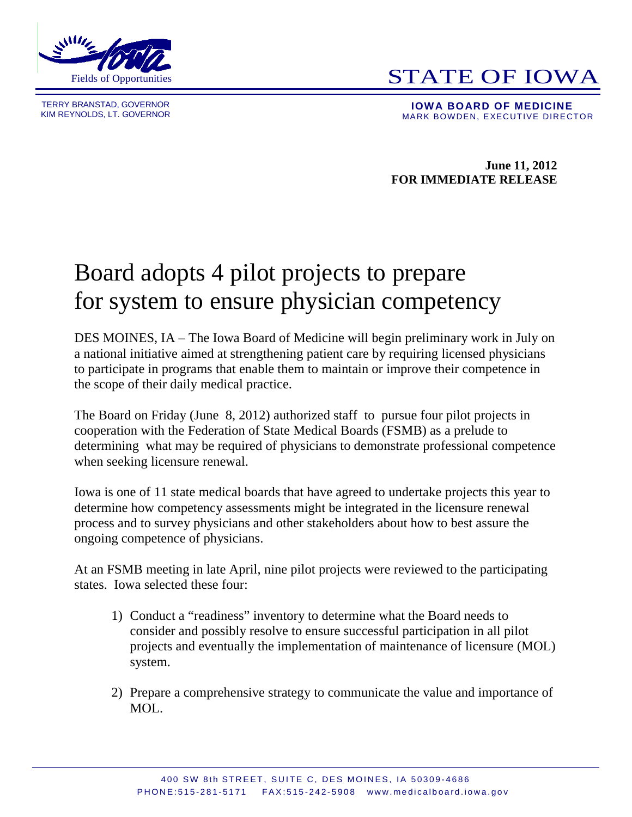

TERRY BRANSTAD, GOVERNOR<br>KIM REYNOLDS, LT. GOVERNOR

## **STATE OF IOWA**

**IOWA BOARD OF MEDICINE**<br>MARK BOWDEN, EXECUTIVE DIRECTOR

**June 11, 2012 FOR IMMEDIATE RELEASE**

## Board adopts 4 pilot projects to prepare for system to ensure physician competency

DES MOINES, IA – The Iowa Board of Medicine will begin preliminary work in July on a national initiative aimed at strengthening patient care by requiring licensed physicians to participate in programs that enable them to maintain or improve their competence in the scope of their daily medical practice.

The Board on Friday (June 8, 2012) authorized staff to pursue four pilot projects in cooperation with the Federation of State Medical Boards (FSMB) as a prelude to determining what may be required of physicians to demonstrate professional competence when seeking licensure renewal.

Iowa is one of 11 state medical boards that have agreed to undertake projects this year to determine how competency assessments might be integrated in the licensure renewal process and to survey physicians and other stakeholders about how to best assure the ongoing competence of physicians.

At an FSMB meeting in late April, nine pilot projects were reviewed to the participating states. Iowa selected these four:

- 1) Conduct a "readiness" inventory to determine what the Board needs to consider and possibly resolve to ensure successful participation in all pilot projects and eventually the implementation of maintenance of licensure (MOL) system.
- 2) Prepare a comprehensive strategy to communicate the value and importance of MOL.